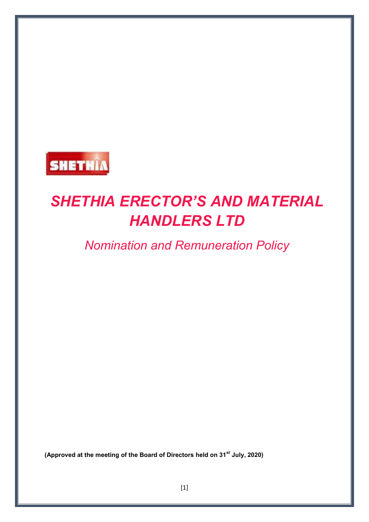

# *SHETHIA ERECTOR'S AND MATERIAL HANDLERS LTD*

*Nomination and Remuneration Policy* 

**(Approved at the meeting of the Board of Directors held on 31st July, 2020)**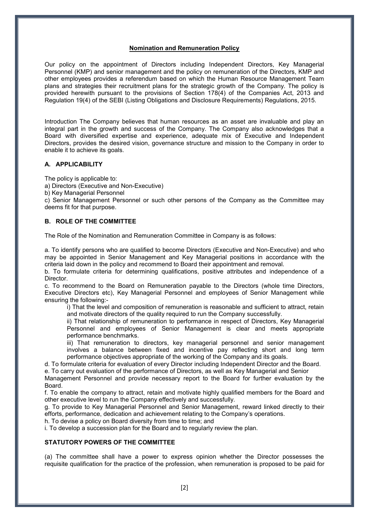## **Nomination and Remuneration Policy**

Our policy on the appointment of Directors including Independent Directors, Key Managerial Personnel (KMP) and senior management and the policy on remuneration of the Directors, KMP and other employees provides a referendum based on which the Human Resource Management Team plans and strategies their recruitment plans for the strategic growth of the Company. The policy is provided herewith pursuant to the provisions of Section 178(4) of the Companies Act, 2013 and Regulation 19(4) of the SEBI (Listing Obligations and Disclosure Requirements) Regulations, 2015.

Introduction The Company believes that human resources as an asset are invaluable and play an integral part in the growth and success of the Company. The Company also acknowledges that a Board with diversified expertise and experience, adequate mix of Executive and Independent Directors, provides the desired vision, governance structure and mission to the Company in order to enable it to achieve its goals.

#### **A. APPLICABILITY**

The policy is applicable to:

- a) Directors (Executive and Non-Executive)
- b) Key Managerial Personnel

c) Senior Management Personnel or such other persons of the Company as the Committee may deems fit for that purpose.

## **B. ROLE OF THE COMMITTEE**

The Role of the Nomination and Remuneration Committee in Company is as follows:

a. To identify persons who are qualified to become Directors (Executive and Non-Executive) and who may be appointed in Senior Management and Key Managerial positions in accordance with the criteria laid down in the policy and recommend to Board their appointment and removal.

b. To formulate criteria for determining qualifications, positive attributes and independence of a **Director** 

c. To recommend to the Board on Remuneration payable to the Directors (whole time Directors, Executive Directors etc), Key Managerial Personnel and employees of Senior Management while ensuring the following:-

i) That the level and composition of remuneration is reasonable and sufficient to attract, retain and motivate directors of the quality required to run the Company successfully.

ii) That relationship of remuneration to performance in respect of Directors, Key Managerial Personnel and employees of Senior Management is clear and meets appropriate performance benchmarks.

iii) That remuneration to directors, key managerial personnel and senior management involves a balance between fixed and incentive pay reflecting short and long term performance objectives appropriate of the working of the Company and its goals.

d. To formulate criteria for evaluation of every Director including Independent Director and the Board.

e. To carry out evaluation of the performance of Directors, as well as Key Managerial and Senior Management Personnel and provide necessary report to the Board for further evaluation by the

Board. f. To enable the company to attract, retain and motivate highly qualified members for the Board and other executive level to run the Company effectively and successfully.

g. To provide to Key Managerial Personnel and Senior Management, reward linked directly to their efforts, performance, dedication and achievement relating to the Company's operations.

h. To devise a policy on Board diversity from time to time; and

i. To develop a succession plan for the Board and to regularly review the plan.

#### **STATUTORY POWERS OF THE COMMITTEE**

(a) The committee shall have a power to express opinion whether the Director possesses the requisite qualification for the practice of the profession, when remuneration is proposed to be paid for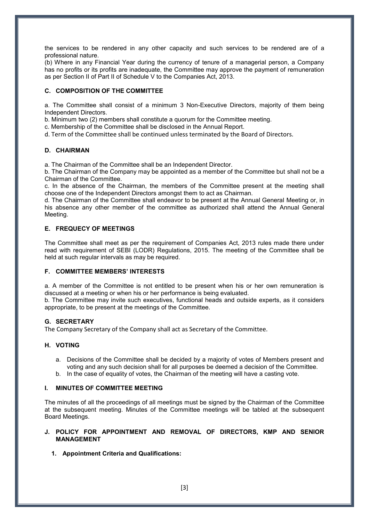the services to be rendered in any other capacity and such services to be rendered are of a professional nature.

(b) Where in any Financial Year during the currency of tenure of a managerial person, a Company has no profits or its profits are inadequate, the Committee may approve the payment of remuneration as per Section II of Part II of Schedule V to the Companies Act, 2013.

# **C. COMPOSITION OF THE COMMITTEE**

a. The Committee shall consist of a minimum 3 Non-Executive Directors, majority of them being Independent Directors.

b. Minimum two (2) members shall constitute a quorum for the Committee meeting.

c. Membership of the Committee shall be disclosed in the Annual Report.

d. Term of the Committee shall be continued unless terminated by the Board of Directors.

## **D. CHAIRMAN**

a. The Chairman of the Committee shall be an Independent Director.

b. The Chairman of the Company may be appointed as a member of the Committee but shall not be a Chairman of the Committee.

c. In the absence of the Chairman, the members of the Committee present at the meeting shall choose one of the Independent Directors amongst them to act as Chairman.

d. The Chairman of the Committee shall endeavor to be present at the Annual General Meeting or, in his absence any other member of the committee as authorized shall attend the Annual General Meeting.

## **E. FREQUECY OF MEETINGS**

The Committee shall meet as per the requirement of Companies Act, 2013 rules made there under read with requirement of SEBI (LODR) Regulations, 2015. The meeting of the Committee shall be held at such regular intervals as may be required.

#### **F. COMMITTEE MEMBERS' INTERESTS**

a. A member of the Committee is not entitled to be present when his or her own remuneration is discussed at a meeting or when his or her performance is being evaluated.

b. The Committee may invite such executives, functional heads and outside experts, as it considers appropriate, to be present at the meetings of the Committee.

#### **G. SECRETARY**

The Company Secretary of the Company shall act as Secretary of the Committee.

#### **H. VOTING**

- a. Decisions of the Committee shall be decided by a majority of votes of Members present and voting and any such decision shall for all purposes be deemed a decision of the Committee.
- b. In the case of equality of votes, the Chairman of the meeting will have a casting vote.

#### **I. MINUTES OF COMMITTEE MEETING**

The minutes of all the proceedings of all meetings must be signed by the Chairman of the Committee at the subsequent meeting. Minutes of the Committee meetings will be tabled at the subsequent Board Meetings.

## **J. POLICY FOR APPOINTMENT AND REMOVAL OF DIRECTORS, KMP AND SENIOR MANAGEMENT**

**1. Appointment Criteria and Qualifications:**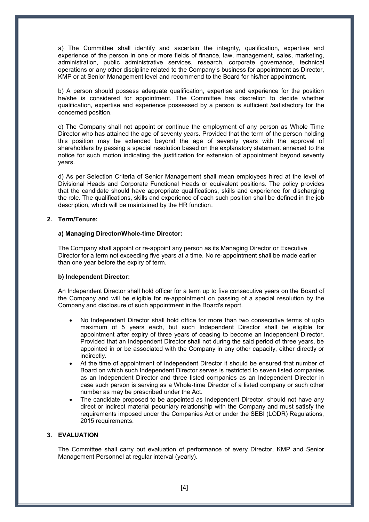a) The Committee shall identify and ascertain the integrity, qualification, expertise and experience of the person in one or more fields of finance, law, management, sales, marketing, administration, public administrative services, research, corporate governance, technical operations or any other discipline related to the Company's business for appointment as Director, KMP or at Senior Management level and recommend to the Board for his/her appointment.

b) A person should possess adequate qualification, expertise and experience for the position he/she is considered for appointment. The Committee has discretion to decide whether qualification, expertise and experience possessed by a person is sufficient /satisfactory for the concerned position.

c) The Company shall not appoint or continue the employment of any person as Whole Time Director who has attained the age of seventy years. Provided that the term of the person holding this position may be extended beyond the age of seventy years with the approval of shareholders by passing a special resolution based on the explanatory statement annexed to the notice for such motion indicating the justification for extension of appointment beyond seventy years.

d) As per Selection Criteria of Senior Management shall mean employees hired at the level of Divisional Heads and Corporate Functional Heads or equivalent positions. The policy provides that the candidate should have appropriate qualifications, skills and experience for discharging the role. The qualifications, skills and experience of each such position shall be defined in the job description, which will be maintained by the HR function.

#### **2. Term/Tenure:**

#### **a) Managing Director/Whole**‐**time Director:**

The Company shall appoint or re‐appoint any person as its Managing Director or Executive Director for a term not exceeding five years at a time. No re-appointment shall be made earlier than one year before the expiry of term.

#### **b) Independent Director:**

An Independent Director shall hold officer for a term up to five consecutive years on the Board of the Company and will be eligible for re‐appointment on passing of a special resolution by the Company and disclosure of such appointment in the Boardʹs report.

- No Independent Director shall hold office for more than two consecutive terms of upto maximum of 5 years each, but such Independent Director shall be eligible for appointment after expiry of three years of ceasing to become an Independent Director. Provided that an Independent Director shall not during the said period of three years, be appointed in or be associated with the Company in any other capacity, either directly or indirectly.
- At the time of appointment of Independent Director it should be ensured that number of Board on which such Independent Director serves is restricted to seven listed companies as an Independent Director and three listed companies as an Independent Director in case such person is serving as a Whole‐time Director of a listed company or such other number as may be prescribed under the Act.
- The candidate proposed to be appointed as Independent Director, should not have any direct or indirect material pecuniary relationship with the Company and must satisfy the requirements imposed under the Companies Act or under the SEBI (LODR) Regulations, 2015 requirements.

#### **3. EVALUATION**

The Committee shall carry out evaluation of performance of every Director, KMP and Senior Management Personnel at regular interval (yearly).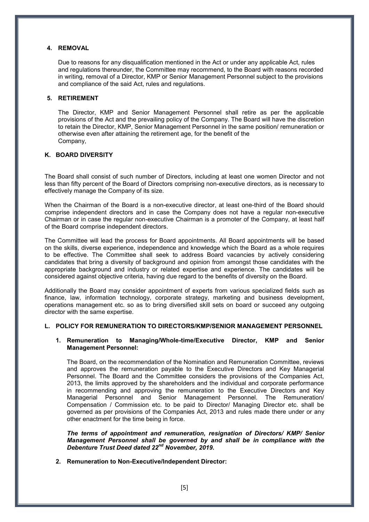# **4. REMOVAL**

Due to reasons for any disqualification mentioned in the Act or under any applicable Act, rules and regulations thereunder, the Committee may recommend, to the Board with reasons recorded in writing, removal of a Director, KMP or Senior Management Personnel subject to the provisions and compliance of the said Act, rules and regulations.

## **5. RETIREMENT**

The Director, KMP and Senior Management Personnel shall retire as per the applicable provisions of the Act and the prevailing policy of the Company. The Board will have the discretion to retain the Director, KMP, Senior Management Personnel in the same position/ remuneration or otherwise even after attaining the retirement age, for the benefit of the Company,

## **K. BOARD DIVERSITY**

The Board shall consist of such number of Directors, including at least one women Director and not less than fifty percent of the Board of Directors comprising non-executive directors, as is necessary to effectively manage the Company of its size.

When the Chairman of the Board is a non-executive director, at least one-third of the Board should comprise independent directors and in case the Company does not have a regular non-executive Chairman or in case the regular non-executive Chairman is a promoter of the Company, at least half of the Board comprise independent directors.

The Committee will lead the process for Board appointments. All Board appointments will be based on the skills, diverse experience, independence and knowledge which the Board as a whole requires to be effective. The Committee shall seek to address Board vacancies by actively considering candidates that bring a diversity of background and opinion from amongst those candidates with the appropriate background and industry or related expertise and experience. The candidates will be considered against objective criteria, having due regard to the benefits of diversity on the Board.

Additionally the Board may consider appointment of experts from various specialized fields such as finance, law, information technology, corporate strategy, marketing and business development, operations management etc. so as to bring diversified skill sets on board or succeed any outgoing director with the same expertise.

#### **L. POLICY FOR REMUNERATION TO DIRECTORS/KMP/SENIOR MANAGEMENT PERSONNEL**

## **1. Remuneration to Managing/Whole-time/Executive Director, KMP and Senior Management Personnel:**

The Board, on the recommendation of the Nomination and Remuneration Committee, reviews and approves the remuneration payable to the Executive Directors and Key Managerial Personnel. The Board and the Committee considers the provisions of the Companies Act, 2013, the limits approved by the shareholders and the individual and corporate performance in recommending and approving the remuneration to the Executive Directors and Key Managerial Personnel and Senior Management Personnel. The Remuneration/ Compensation / Commission etc. to be paid to Director/ Managing Director etc. shall be governed as per provisions of the Companies Act, 2013 and rules made there under or any other enactment for the time being in force.

*The terms of appointment and remuneration, resignation of Directors/ KMP/ Senior Management Personnel shall be governed by and shall be in compliance with the Debenture Trust Deed dated 22nd November, 2019.*

**2. Remuneration to Non-Executive/Independent Director:**